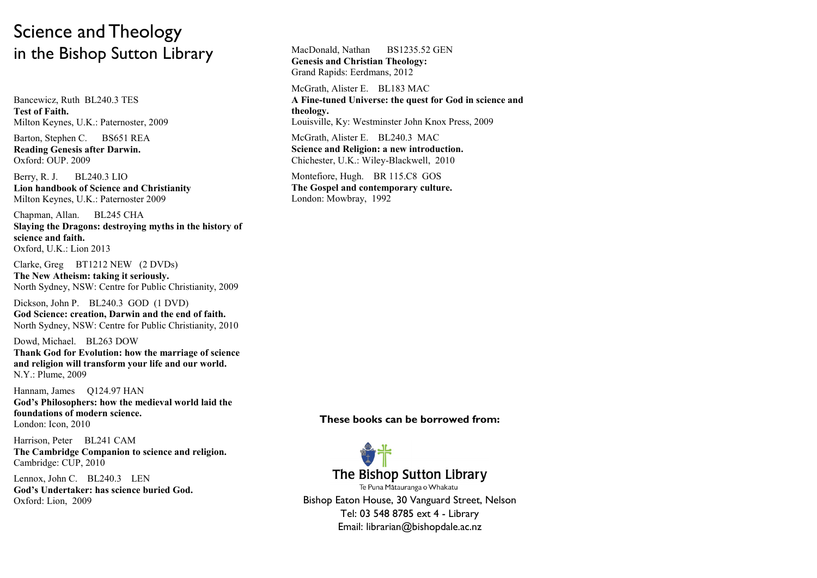## Science and Theology in the Bishop Sutton Library

Bancewicz, Ruth BL240.3 TES **Test of Faith.** Milton Keynes, U.K.: Paternoster, 2009

Barton, Stephen C. BS651 REA **Reading Genesis after Darwin.** Oxford: OUP. 2009

Berry, R. J. BL240.3 LIO **Lion handbook of Science and Christianity** Milton Keynes, U.K.: Paternoster 2009

Chapman, Allan. BL245 CHA **Slaying the Dragons: destroying myths in the history of science and faith.** Oxford, U.K.: Lion 2013

Clarke, Greg BT1212 NEW (2 DVDs)

**The New Atheism: taking it seriously.** North Sydney, NSW: Centre for Public Christianity, 2009

Dickson, John P. BL240.3 GOD (1 DVD) **God Science: creation, Darwin and the end of faith.** North Sydney, NSW: Centre for Public Christianity, 2010

Dowd, Michael. BL263 DOW **Thank God for Evolution: how the marriage of science and religion will transform your life and our world.** N.Y.: Plume, 2009

Hannam, James O124.97 HAN

**God's Philosophers: how the medieval world laid the foundations of modern science.** London: Icon, 2010

Harrison, Peter BL241 CAM **The Cambridge Companion to science and religion.** Cambridge: CUP, 2010

Lennox, John C. BL240.3 LEN **God's Undertaker: has science buried God.** Oxford: Lion, 2009

MacDonald, Nathan BS1235.52 GEN **Genesis and Christian Theology:**  Grand Rapids: Eerdmans, 2012

McGrath, Alister E. BL183 MAC **A Fine-tuned Universe: the quest for God in science and theology.** Louisville, Ky: Westminster John Knox Press, 2009

McGrath, Alister E. BL240.3 MAC **Science and Religion: a new introduction.** Chichester, U.K.: Wiley-Blackwell, 2010

Montefiore, Hugh. BR 115.C8 GOS **The Gospel and contemporary culture.** London: Mowbray, 1992

**These books can be borrowed from:** 



Bishop Eaton House, 30 Vanguard Street, Nelson Tel: 03 548 8785 ext 4 - Library Email: librarian@bishopdale.ac.nz